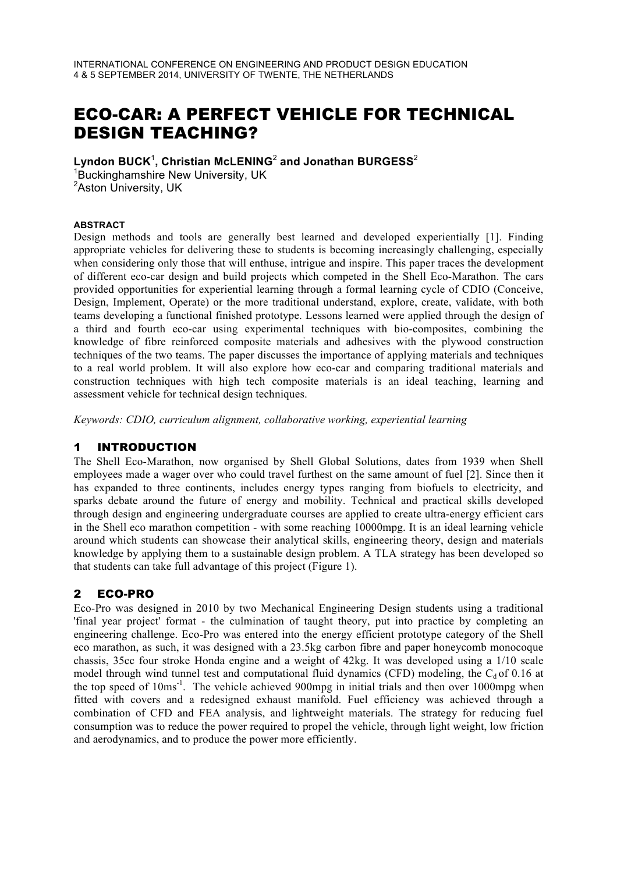# ECO-CAR: A PERFECT VEHICLE FOR TECHNICAL DESIGN TEACHING?

Lyndon BUCK<sup>1</sup>, Christian McLENING<sup>2</sup> and Jonathan BURGESS<sup>2</sup><br><sup>1</sup>Buckingbamshire Now University, UK

 ${}^{1}$ Buckinghamshire New University, UK <sup>2</sup>Aston University, UK

#### **ABSTRACT**

Design methods and tools are generally best learned and developed experientially [1]. Finding appropriate vehicles for delivering these to students is becoming increasingly challenging, especially when considering only those that will enthuse, intrigue and inspire. This paper traces the development of different eco-car design and build projects which competed in the Shell Eco-Marathon. The cars provided opportunities for experiential learning through a formal learning cycle of CDIO (Conceive, Design, Implement, Operate) or the more traditional understand, explore, create, validate, with both teams developing a functional finished prototype. Lessons learned were applied through the design of a third and fourth eco-car using experimental techniques with bio-composites, combining the knowledge of fibre reinforced composite materials and adhesives with the plywood construction techniques of the two teams. The paper discusses the importance of applying materials and techniques to a real world problem. It will also explore how eco-car and comparing traditional materials and construction techniques with high tech composite materials is an ideal teaching, learning and assessment vehicle for technical design techniques.

*Keywords: CDIO, curriculum alignment, collaborative working, experiential learning*

## 1 INTRODUCTION

The Shell Eco-Marathon, now organised by Shell Global Solutions, dates from 1939 when Shell employees made a wager over who could travel furthest on the same amount of fuel [2]. Since then it has expanded to three continents, includes energy types ranging from biofuels to electricity, and sparks debate around the future of energy and mobility. Technical and practical skills developed through design and engineering undergraduate courses are applied to create ultra-energy efficient cars in the Shell eco marathon competition - with some reaching 10000mpg. It is an ideal learning vehicle around which students can showcase their analytical skills, engineering theory, design and materials knowledge by applying them to a sustainable design problem. A TLA strategy has been developed so that students can take full advantage of this project (Figure 1).

## 2 ECO-PRO

Eco-Pro was designed in 2010 by two Mechanical Engineering Design students using a traditional 'final year project' format - the culmination of taught theory, put into practice by completing an engineering challenge. Eco-Pro was entered into the energy efficient prototype category of the Shell eco marathon, as such, it was designed with a 23.5kg carbon fibre and paper honeycomb monocoque chassis, 35cc four stroke Honda engine and a weight of 42kg. It was developed using a 1/10 scale model through wind tunnel test and computational fluid dynamics (CFD) modeling, the  $C_d$  of 0.16 at the top speed of 10ms<sup>-1</sup>. The vehicle achieved 900mpg in initial trials and then over 1000mpg when fitted with covers and a redesigned exhaust manifold. Fuel efficiency was achieved through a combination of CFD and FEA analysis, and lightweight materials. The strategy for reducing fuel consumption was to reduce the power required to propel the vehicle, through light weight, low friction and aerodynamics, and to produce the power more efficiently.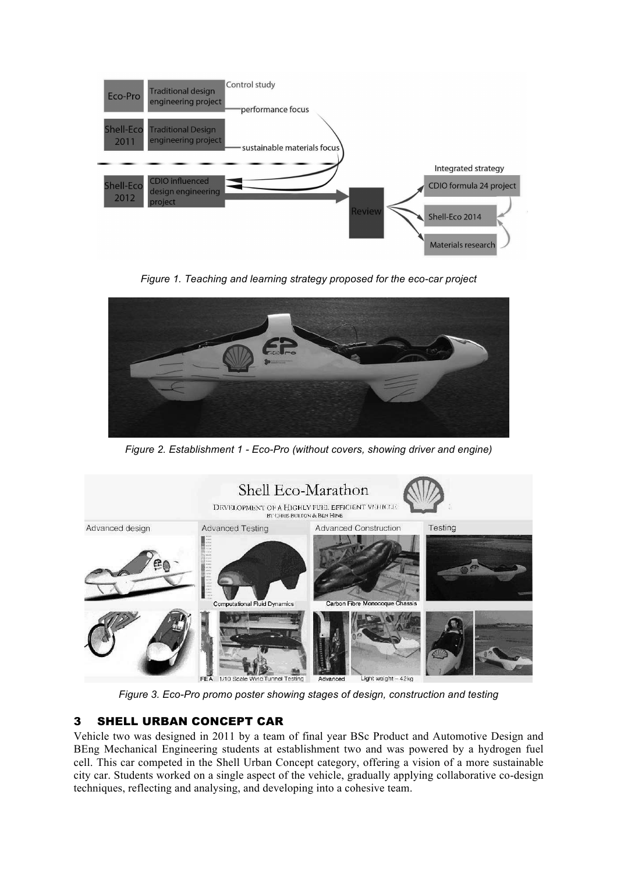

*Figure 1. Teaching and learning strategy proposed for the eco-car project*



*Figure 2. Establishment 1 - Eco-Pro (without covers, showing driver and engine)*



*Figure 3. Eco-Pro promo poster showing stages of design, construction and testing*

# 3 SHELL URBAN CONCEPT CAR

Vehicle two was designed in 2011 by a team of final year BSc Product and Automotive Design and BEng Mechanical Engineering students at establishment two and was powered by a hydrogen fuel cell. This car competed in the Shell Urban Concept category, offering a vision of a more sustainable city car. Students worked on a single aspect of the vehicle, gradually applying collaborative co-design techniques, reflecting and analysing, and developing into a cohesive team.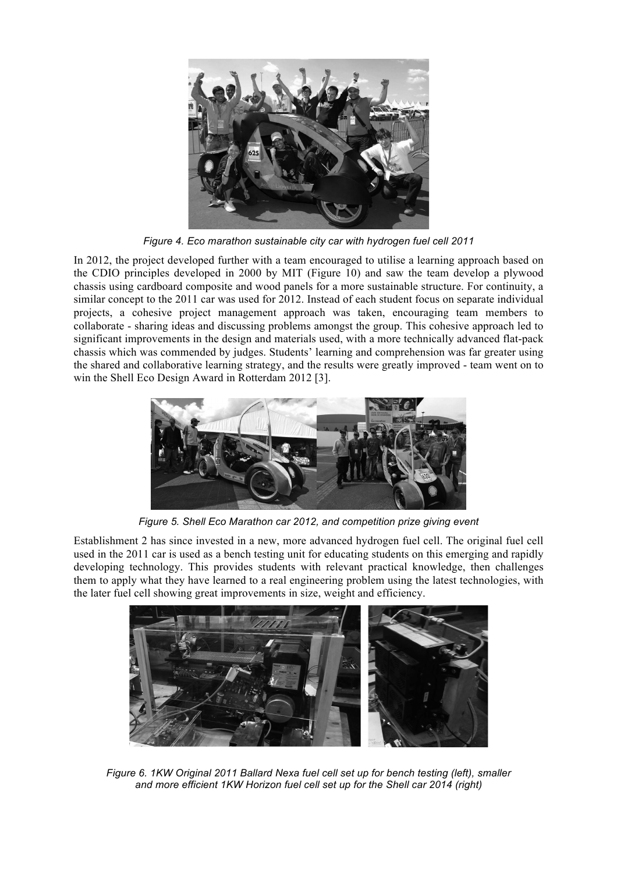

*Figure 4. Eco marathon sustainable city car with hydrogen fuel cell 2011*

In 2012, the project developed further with a team encouraged to utilise a learning approach based on the CDIO principles developed in 2000 by MIT (Figure 10) and saw the team develop a plywood chassis using cardboard composite and wood panels for a more sustainable structure. For continuity, a similar concept to the 2011 car was used for 2012. Instead of each student focus on separate individual projects, a cohesive project management approach was taken, encouraging team members to collaborate - sharing ideas and discussing problems amongst the group. This cohesive approach led to significant improvements in the design and materials used, with a more technically advanced flat-pack chassis which was commended by judges. Students' learning and comprehension was far greater using the shared and collaborative learning strategy, and the results were greatly improved - team went on to win the Shell Eco Design Award in Rotterdam 2012 [3].



*Figure 5. Shell Eco Marathon car 2012, and competition prize giving event*

Establishment 2 has since invested in a new, more advanced hydrogen fuel cell. The original fuel cell used in the 2011 car is used as a bench testing unit for educating students on this emerging and rapidly developing technology. This provides students with relevant practical knowledge, then challenges them to apply what they have learned to a real engineering problem using the latest technologies, with the later fuel cell showing great improvements in size, weight and efficiency.



*Figure 6. 1KW Original 2011 Ballard Nexa fuel cell set up for bench testing (left), smaller and more efficient 1KW Horizon fuel cell set up for the Shell car 2014 (right)*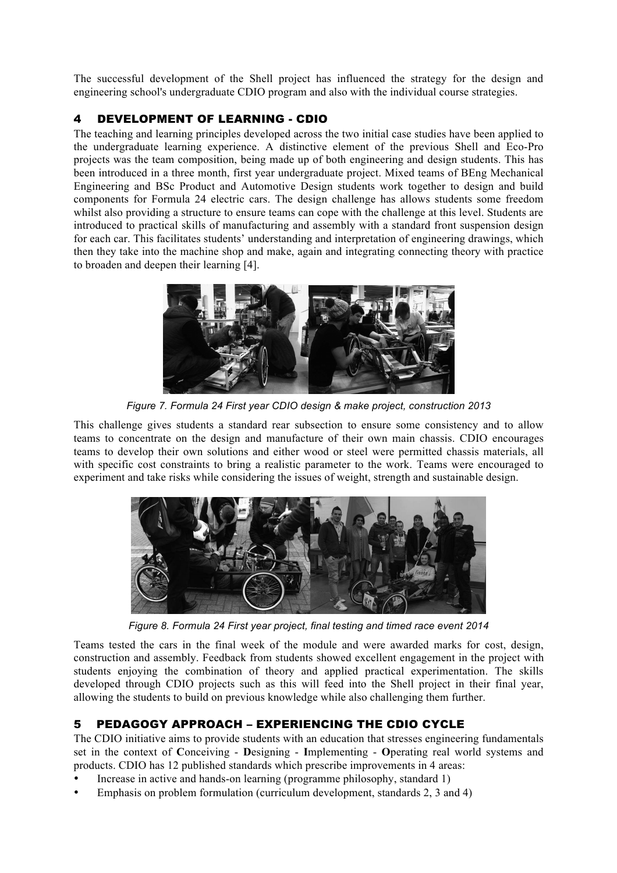The successful development of the Shell project has influenced the strategy for the design and engineering school's undergraduate CDIO program and also with the individual course strategies.

# 4 DEVELOPMENT OF LEARNING - CDIO

The teaching and learning principles developed across the two initial case studies have been applied to the undergraduate learning experience. A distinctive element of the previous Shell and Eco-Pro projects was the team composition, being made up of both engineering and design students. This has been introduced in a three month, first year undergraduate project. Mixed teams of BEng Mechanical Engineering and BSc Product and Automotive Design students work together to design and build components for Formula 24 electric cars. The design challenge has allows students some freedom whilst also providing a structure to ensure teams can cope with the challenge at this level. Students are introduced to practical skills of manufacturing and assembly with a standard front suspension design for each car. This facilitates students' understanding and interpretation of engineering drawings, which then they take into the machine shop and make, again and integrating connecting theory with practice to broaden and deepen their learning [4].



*Figure 7. Formula 24 First year CDIO design & make project, construction 2013*

This challenge gives students a standard rear subsection to ensure some consistency and to allow teams to concentrate on the design and manufacture of their own main chassis. CDIO encourages teams to develop their own solutions and either wood or steel were permitted chassis materials, all with specific cost constraints to bring a realistic parameter to the work. Teams were encouraged to experiment and take risks while considering the issues of weight, strength and sustainable design.



*Figure 8. Formula 24 First year project, final testing and timed race event 2014*

Teams tested the cars in the final week of the module and were awarded marks for cost, design, construction and assembly. Feedback from students showed excellent engagement in the project with students enjoying the combination of theory and applied practical experimentation. The skills developed through CDIO projects such as this will feed into the Shell project in their final year, allowing the students to build on previous knowledge while also challenging them further.

# 5 PEDAGOGY APPROACH – EXPERIENCING THE CDIO CYCLE

The CDIO initiative aims to provide students with an education that stresses engineering fundamentals set in the context of **C**onceiving - **D**esigning - **I**mplementing - **O**perating real world systems and products. CDIO has 12 published standards which prescribe improvements in 4 areas:

- Increase in active and hands-on learning (programme philosophy, standard 1)
- Emphasis on problem formulation (curriculum development, standards 2, 3 and 4)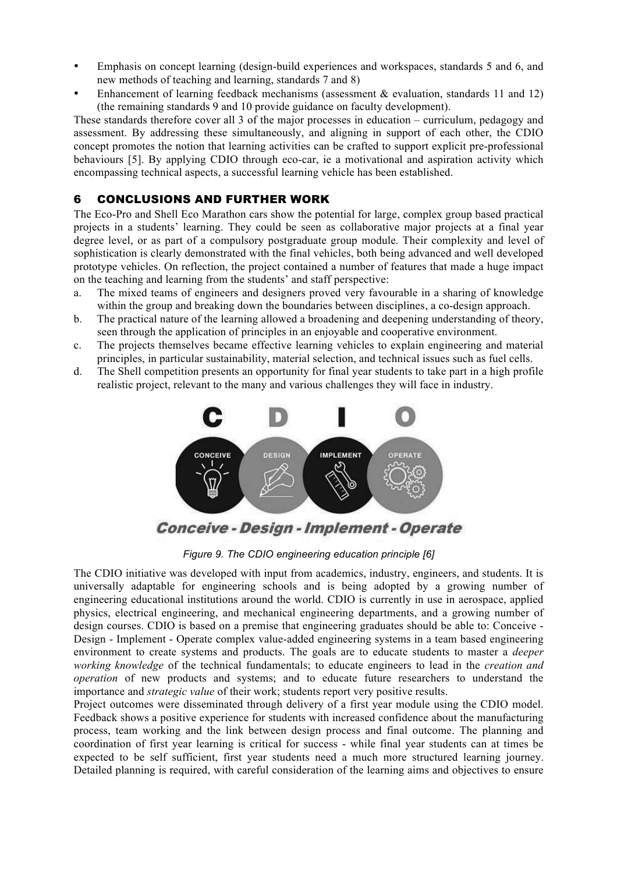- Emphasis on concept learning (design-build experiences and workspaces, standards 5 and 6, and new methods of teaching and learning, standards 7 and 8)
- Enhancement of learning feedback mechanisms (assessment  $\&$  evaluation, standards 11 and 12) (the remaining standards 9 and 10 provide guidance on faculty development).

These standards therefore cover all 3 of the major processes in education – curriculum, pedagogy and assessment. By addressing these simultaneously, and aligning in support of each other, the CDIO concept promotes the notion that learning activities can be crafted to support explicit pre-professional behaviours [5]. By applying CDIO through eco-car, ie a motivational and aspiration activity which encompassing technical aspects, a successful learning vehicle has been established.

## 6 CONCLUSIONS AND FURTHER WORK

The Eco-Pro and Shell Eco Marathon cars show the potential for large, complex group based practical projects in a students' learning. They could be seen as collaborative major projects at a final year degree level, or as part of a compulsory postgraduate group module. Their complexity and level of sophistication is clearly demonstrated with the final vehicles, both being advanced and well developed prototype vehicles. On reflection, the project contained a number of features that made a huge impact on the teaching and learning from the students' and staff perspective:

- a. The mixed teams of engineers and designers proved very favourable in a sharing of knowledge within the group and breaking down the boundaries between disciplines, a co-design approach.
- b. The practical nature of the learning allowed a broadening and deepening understanding of theory, seen through the application of principles in an enjoyable and cooperative environment.
- c. The projects themselves became effective learning vehicles to explain engineering and material principles, in particular sustainability, material selection, and technical issues such as fuel cells.
- d. The Shell competition presents an opportunity for final year students to take part in a high profile realistic project, relevant to the many and various challenges they will face in industry.



*Figure 9. The CDIO engineering education principle [6]* 

The CDIO initiative was developed with input from academics, industry, engineers, and students. It is universally adaptable for engineering schools and is being adopted by a growing number of engineering educational institutions around the world. CDIO is currently in use in aerospace, applied physics, electrical engineering, and mechanical engineering departments, and a growing number of design courses. CDIO is based on a premise that engineering graduates should be able to: Conceive - Design - Implement - Operate complex value-added engineering systems in a team based engineering environment to create systems and products. The goals are to educate students to master a *deeper working knowledge* of the technical fundamentals; to educate engineers to lead in the *creation and operation* of new products and systems; and to educate future researchers to understand the importance and *strategic value* of their work; students report very positive results.

Project outcomes were disseminated through delivery of a first year module using the CDIO model. Feedback shows a positive experience for students with increased confidence about the manufacturing process, team working and the link between design process and final outcome. The planning and coordination of first year learning is critical for success - while final year students can at times be expected to be self sufficient, first year students need a much more structured learning journey. Detailed planning is required, with careful consideration of the learning aims and objectives to ensure